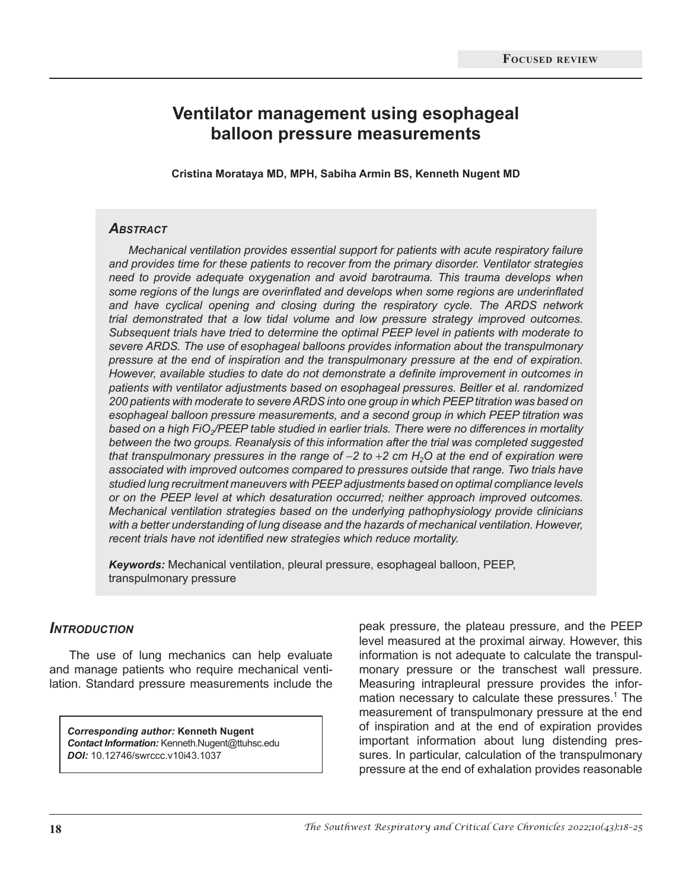# **Ventilator management using esophageal balloon pressure measurements**

**Cristina Morataya MD, MPH, Sabiha Armin BS, Kenneth Nugent MD**

#### *Abstract*

*Mechanical ventilation provides essential support for patients with acute respiratory failure and provides time for these patients to recover from the primary disorder. Ventilator strategies need to provide adequate oxygenation and avoid barotrauma. This trauma develops when some regions of the lungs are overinflated and develops when some regions are underinflated and have cyclical opening and closing during the respiratory cycle. The ARDS network trial demonstrated that a low tidal volume and low pressure strategy improved outcomes. Subsequent trials have tried to determine the optimal PEEP level in patients with moderate to severe ARDS. The use of esophageal balloons provides information about the transpulmonary pressure at the end of inspiration and the transpulmonary pressure at the end of expiration. However, available studies to date do not demonstrate a definite improvement in outcomes in patients with ventilator adjustments based on esophageal pressures. Beitler et al. randomized 200 patients with moderate to severe ARDS into one group in which PEEP titration was based on esophageal balloon pressure measurements, and a second group in which PEEP titration was*  based on a high FiO<sub>2</sub>/PEEP table studied in earlier trials. There were no differences in mortality *between the two groups. Reanalysis of this information after the trial was completed suggested that transpulmonary pressures in the range of -2 to +2 cm H<sub>2</sub>O at the end of expiration were associated with improved outcomes compared to pressures outside that range. Two trials have studied lung recruitment maneuvers with PEEP adjustments based on optimal compliance levels or on the PEEP level at which desaturation occurred; neither approach improved outcomes. Mechanical ventilation strategies based on the underlying pathophysiology provide clinicians with a better understanding of lung disease and the hazards of mechanical ventilation. However, recent trials have not identified new strategies which reduce mortality.*

*Keywords:* Mechanical ventilation, pleural pressure, esophageal balloon, PEEP, transpulmonary pressure

## *Introduction*

The use of lung mechanics can help evaluate and manage patients who require mechanical ventilation. Standard pressure measurements include the

*Corresponding author:* **Kenneth Nugent**  *Contact Information:* Kenneth.Nugent@ttuhsc.edu *DOI:* 10.12746/swrccc.v10i43.1037

peak pressure, the plateau pressure, and the PEEP level measured at the proximal airway. However, this information is not adequate to calculate the transpulmonary pressure or the transchest wall pressure. Measuring intrapleural pressure provides the information necessary to calculate these pressures.<sup>1</sup> The measurement of transpulmonary pressure at the end of inspiration and at the end of expiration provides important information about lung distending pressures. In particular, calculation of the transpulmonary pressure at the end of exhalation provides reasonable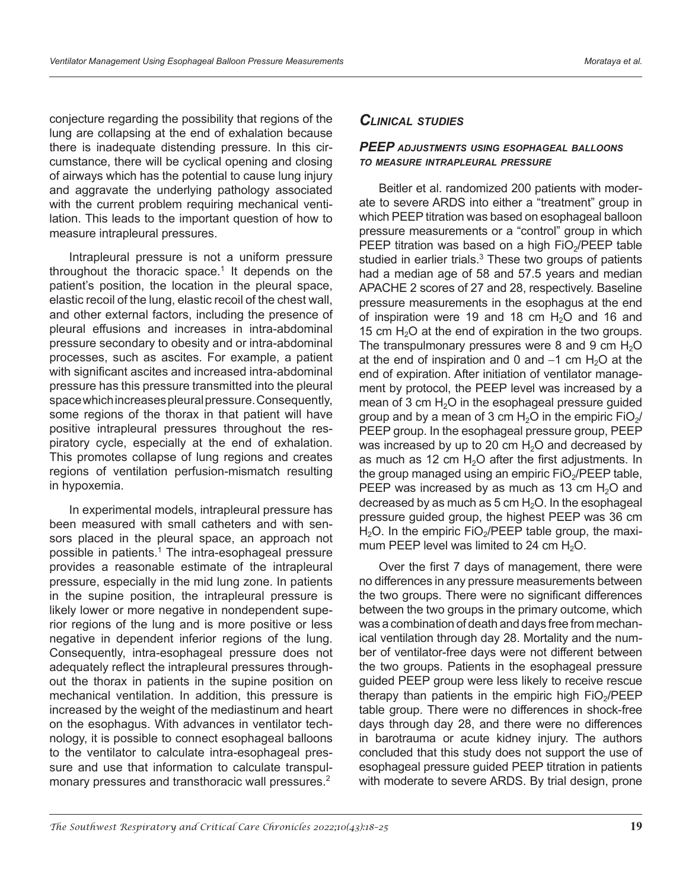conjecture regarding the possibility that regions of the lung are collapsing at the end of exhalation because there is inadequate distending pressure. In this circumstance, there will be cyclical opening and closing of airways which has the potential to cause lung injury and aggravate the underlying pathology associated with the current problem requiring mechanical ventilation. This leads to the important question of how to measure intrapleural pressures.

Intrapleural pressure is not a uniform pressure throughout the thoracic space.<sup>1</sup> It depends on the patient's position, the location in the pleural space, elastic recoil of the lung, elastic recoil of the chest wall, and other external factors, including the presence of pleural effusions and increases in intra-abdominal pressure secondary to obesity and or intra-abdominal processes, such as ascites. For example, a patient with significant ascites and increased intra-abdominal pressure has this pressure transmitted into the pleural space which increases pleural pressure. Consequently, some regions of the thorax in that patient will have positive intrapleural pressures throughout the respiratory cycle, especially at the end of exhalation. This promotes collapse of lung regions and creates regions of ventilation perfusion-mismatch resulting in hypoxemia.

In experimental models, intrapleural pressure has been measured with small catheters and with sensors placed in the pleural space, an approach not possible in patients.<sup>1</sup> The intra-esophageal pressure provides a reasonable estimate of the intrapleural pressure, especially in the mid lung zone. In patients in the supine position, the intrapleural pressure is likely lower or more negative in nondependent superior regions of the lung and is more positive or less negative in dependent inferior regions of the lung. Consequently, intra-esophageal pressure does not adequately reflect the intrapleural pressures throughout the thorax in patients in the supine position on mechanical ventilation. In addition, this pressure is increased by the weight of the mediastinum and heart on the esophagus. With advances in ventilator technology, it is possible to connect esophageal balloons to the ventilator to calculate intra-esophageal pressure and use that information to calculate transpulmonary pressures and transthoracic wall pressures.<sup>2</sup>

# *Clinical studies*

### *PEEP adjustments using esophageal balloons to measure intrapleural pressure*

Beitler et al. randomized 200 patients with moderate to severe ARDS into either a "treatment" group in which PEEP titration was based on esophageal balloon pressure measurements or a "control" group in which PEEP titration was based on a high  $FiO<sub>2</sub>/PEEP$  table studied in earlier trials. $3$  These two groups of patients had a median age of 58 and 57.5 years and median APACHE 2 scores of 27 and 28, respectively. Baseline pressure measurements in the esophagus at the end of inspiration were 19 and 18 cm  $H<sub>2</sub>O$  and 16 and 15 cm  $H<sub>2</sub>O$  at the end of expiration in the two groups. The transpulmonary pressures were 8 and 9 cm  $H_2O$ at the end of inspiration and 0 and  $-1$  cm  $H_2O$  at the end of expiration. After initiation of ventilator management by protocol, the PEEP level was increased by a mean of 3 cm  $H<sub>2</sub>O$  in the esophageal pressure guided group and by a mean of 3 cm  $H_2O$  in the empiric FiO<sub>2</sub>/ PEEP group. In the esophageal pressure group, PEEP was increased by up to 20 cm  $H<sub>2</sub>O$  and decreased by as much as 12 cm  $H<sub>2</sub>O$  after the first adjustments. In the group managed using an empiric  $FiO<sub>2</sub>/PEEP$  table, PEEP was increased by as much as 13 cm  $H_2O$  and decreased by as much as  $5 \text{ cm H}_2\text{O}$ . In the esophageal pressure guided group, the highest PEEP was 36 cm  $H<sub>2</sub>O$ . In the empiric FiO<sub>2</sub>/PEEP table group, the maximum PEEP level was limited to 24 cm  $H_2O$ .

Over the first 7 days of management, there were no differences in any pressure measurements between the two groups. There were no significant differences between the two groups in the primary outcome, which was a combination of death and days free from mechanical ventilation through day 28. Mortality and the number of ventilator-free days were not different between the two groups. Patients in the esophageal pressure guided PEEP group were less likely to receive rescue therapy than patients in the empiric high  $FiO_2/PEEP$ table group. There were no differences in shock-free days through day 28, and there were no differences in barotrauma or acute kidney injury. The authors concluded that this study does not support the use of esophageal pressure guided PEEP titration in patients with moderate to severe ARDS. By trial design, prone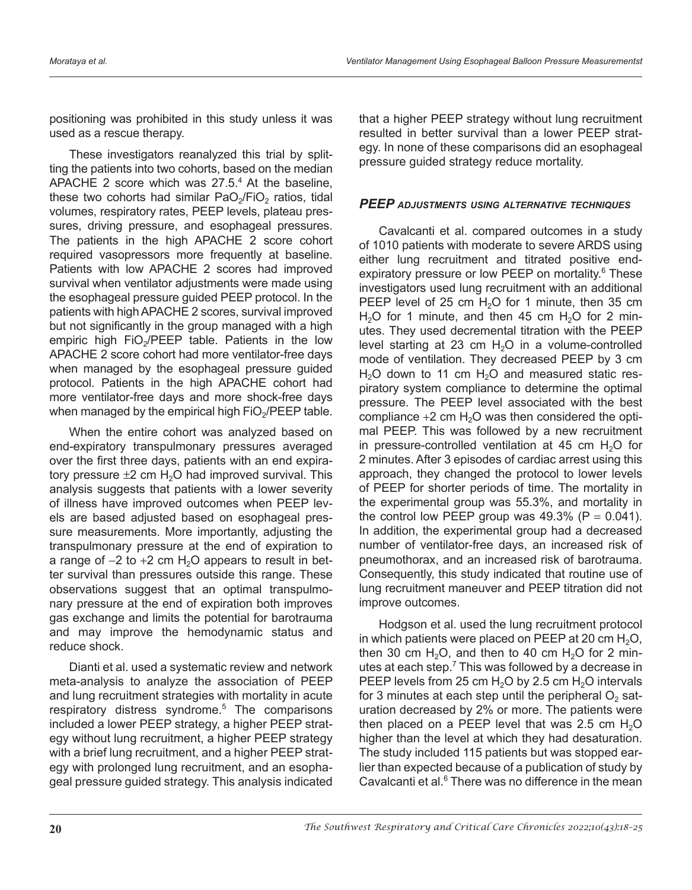positioning was prohibited in this study unless it was used as a rescue therapy.

These investigators reanalyzed this trial by splitting the patients into two cohorts, based on the median APACHE 2 score which was  $27.5<sup>4</sup>$  At the baseline, these two cohorts had similar  $PaO<sub>2</sub>/FiO<sub>2</sub>$  ratios, tidal volumes, respiratory rates, PEEP levels, plateau pressures, driving pressure, and esophageal pressures. The patients in the high APACHE 2 score cohort required vasopressors more frequently at baseline. Patients with low APACHE 2 scores had improved survival when ventilator adjustments were made using the esophageal pressure guided PEEP protocol. In the patients with high APACHE 2 scores, survival improved but not significantly in the group managed with a high empiric high  $FiO<sub>2</sub>/PEEP$  table. Patients in the low APACHE 2 score cohort had more ventilator-free days when managed by the esophageal pressure guided protocol. Patients in the high APACHE cohort had more ventilator-free days and more shock-free days when managed by the empirical high  $FiO<sub>2</sub>/PEEP$  table.

When the entire cohort was analyzed based on end-expiratory transpulmonary pressures averaged over the first three days, patients with an end expiratory pressure  $\pm 2$  cm H<sub>2</sub>O had improved survival. This analysis suggests that patients with a lower severity of illness have improved outcomes when PEEP levels are based adjusted based on esophageal pressure measurements. More importantly, adjusting the transpulmonary pressure at the end of expiration to a range of  $-2$  to  $+2$  cm  $H<sub>2</sub>O$  appears to result in better survival than pressures outside this range. These observations suggest that an optimal transpulmonary pressure at the end of expiration both improves gas exchange and limits the potential for barotrauma and may improve the hemodynamic status and reduce shock.

Dianti et al. used a systematic review and network meta-analysis to analyze the association of PEEP and lung recruitment strategies with mortality in acute respiratory distress syndrome.<sup>5</sup> The comparisons included a lower PEEP strategy, a higher PEEP strategy without lung recruitment, a higher PEEP strategy with a brief lung recruitment, and a higher PEEP strategy with prolonged lung recruitment, and an esophageal pressure guided strategy. This analysis indicated

that a higher PEEP strategy without lung recruitment resulted in better survival than a lower PEEP strategy. In none of these comparisons did an esophageal pressure guided strategy reduce mortality.

### *PEEP adjustments using alternative techniques*

Cavalcanti et al. compared outcomes in a study of 1010 patients with moderate to severe ARDS using either lung recruitment and titrated positive endexpiratory pressure or low PEEP on mortality.<sup>6</sup> These investigators used lung recruitment with an additional PEEP level of 25 cm  $H<sub>2</sub>O$  for 1 minute, then 35 cm  $H<sub>2</sub>O$  for 1 minute, and then 45 cm  $H<sub>2</sub>O$  for 2 minutes. They used decremental titration with the PEEP level starting at 23 cm  $H<sub>2</sub>O$  in a volume-controlled mode of ventilation. They decreased PEEP by 3 cm  $H<sub>2</sub>O$  down to 11 cm  $H<sub>2</sub>O$  and measured static respiratory system compliance to determine the optimal pressure. The PEEP level associated with the best compliance  $+2$  cm  $H<sub>2</sub>O$  was then considered the optimal PEEP. This was followed by a new recruitment in pressure-controlled ventilation at 45 cm  $H<sub>2</sub>O$  for 2 minutes. After 3 episodes of cardiac arrest using this approach, they changed the protocol to lower levels of PEEP for shorter periods of time. The mortality in the experimental group was 55.3%, and mortality in the control low PEEP group was  $49.3\%$  (P = 0.041). In addition, the experimental group had a decreased number of ventilator-free days, an increased risk of pneumothorax, and an increased risk of barotrauma. Consequently, this study indicated that routine use of lung recruitment maneuver and PEEP titration did not improve outcomes.

Hodgson et al. used the lung recruitment protocol in which patients were placed on PEEP at 20 cm  $H_2O$ , then 30 cm  $H_2O$ , and then to 40 cm  $H_2O$  for 2 minutes at each step.<sup>7</sup> This was followed by a decrease in PEEP levels from 25 cm  $H_2O$  by 2.5 cm  $H_2O$  intervals for 3 minutes at each step until the peripheral  $O<sub>2</sub>$  saturation decreased by 2% or more. The patients were then placed on a PEEP level that was 2.5 cm  $H_2O$ higher than the level at which they had desaturation. The study included 115 patients but was stopped earlier than expected because of a publication of study by Cavalcanti et al.<sup>6</sup> There was no difference in the mean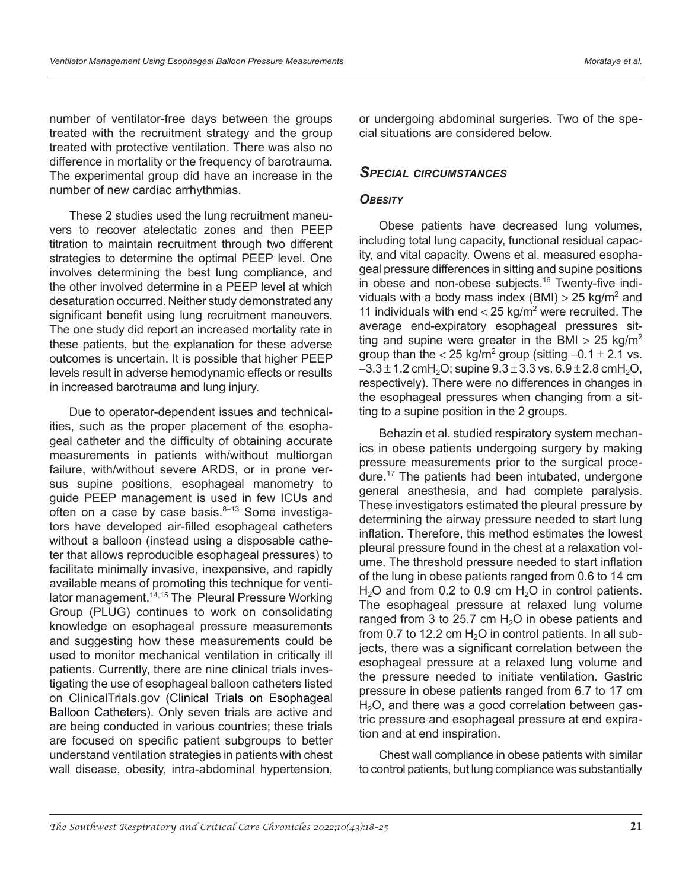number of ventilator-free days between the groups treated with the recruitment strategy and the group treated with protective ventilation. There was also no difference in mortality or the frequency of barotrauma. The experimental group did have an increase in the number of new cardiac arrhythmias.

These 2 studies used the lung recruitment maneuvers to recover atelectatic zones and then PEEP titration to maintain recruitment through two different strategies to determine the optimal PEEP level. One involves determining the best lung compliance, and the other involved determine in a PEEP level at which desaturation occurred. Neither study demonstrated any significant benefit using lung recruitment maneuvers. The one study did report an increased mortality rate in these patients, but the explanation for these adverse outcomes is uncertain. It is possible that higher PEEP levels result in adverse hemodynamic effects or results in increased barotrauma and lung injury.

Due to operator-dependent issues and technicalities, such as the proper placement of the esophageal catheter and the difficulty of obtaining accurate measurements in patients with/without multiorgan failure, with/without severe ARDS, or in prone versus supine positions, esophageal manometry to guide PEEP management is used in few ICUs and often on a case by case basis. $8-13$  Some investigators have developed air-filled esophageal catheters without a balloon (instead using a disposable catheter that allows reproducible esophageal pressures) to facilitate minimally invasive, inexpensive, and rapidly available means of promoting this technique for ventilator management.<sup>14,15</sup> The Pleural Pressure Working Group (PLUG) continues to work on consolidating knowledge on esophageal pressure measurements and suggesting how these measurements could be used to monitor mechanical ventilation in critically ill patients. Currently, there are nine clinical trials investigating the use of esophageal balloon catheters listed on ClinicalTrials.gov (Clinical Trials on Esophageal Balloon Catheters). Only seven trials are active and are being conducted in various countries; these trials are focused on specific patient subgroups to better understand ventilation strategies in patients with chest wall disease, obesity, intra-abdominal hypertension,

or undergoing abdominal surgeries. Two of the special situations are considered below.

# *Special circumstances*

## *Obesity*

Obese patients have decreased lung volumes, including total lung capacity, functional residual capacity, and vital capacity. Owens et al. measured esophageal pressure differences in sitting and supine positions in obese and non-obese subjects.<sup>16</sup> Twenty-five individuals with a body mass index (BMI)  $>$  25 kg/m<sup>2</sup> and 11 individuals with end  $<$  25 kg/m<sup>2</sup> were recruited. The average end-expiratory esophageal pressures sitting and supine were greater in the BMI  $> 25$  kg/m<sup>2</sup> group than the < 25 kg/m<sup>2</sup> group (sitting  $-0.1 \pm 2.1$  vs.  $-3.3 \pm 1.2$  cmH<sub>2</sub>O; supine  $9.3 \pm 3.3$  vs.  $6.9 \pm 2.8$  cmH<sub>2</sub>O, respectively). There were no differences in changes in the esophageal pressures when changing from a sitting to a supine position in the 2 groups.

Behazin et al. studied respiratory system mechanics in obese patients undergoing surgery by making pressure measurements prior to the surgical procedure.<sup>17</sup> The patients had been intubated, undergone general anesthesia, and had complete paralysis. These investigators estimated the pleural pressure by determining the airway pressure needed to start lung inflation. Therefore, this method estimates the lowest pleural pressure found in the chest at a relaxation volume. The threshold pressure needed to start inflation of the lung in obese patients ranged from 0.6 to 14 cm  $H<sub>2</sub>O$  and from 0.2 to 0.9 cm  $H<sub>2</sub>O$  in control patients. The esophageal pressure at relaxed lung volume ranged from 3 to 25.7 cm  $H_2O$  in obese patients and from 0.7 to 12.2 cm  $H_2O$  in control patients. In all subjects, there was a significant correlation between the esophageal pressure at a relaxed lung volume and the pressure needed to initiate ventilation. Gastric pressure in obese patients ranged from 6.7 to 17 cm  $H<sub>2</sub>O$ , and there was a good correlation between gastric pressure and esophageal pressure at end expiration and at end inspiration.

Chest wall compliance in obese patients with similar to control patients, but lung compliance was substantially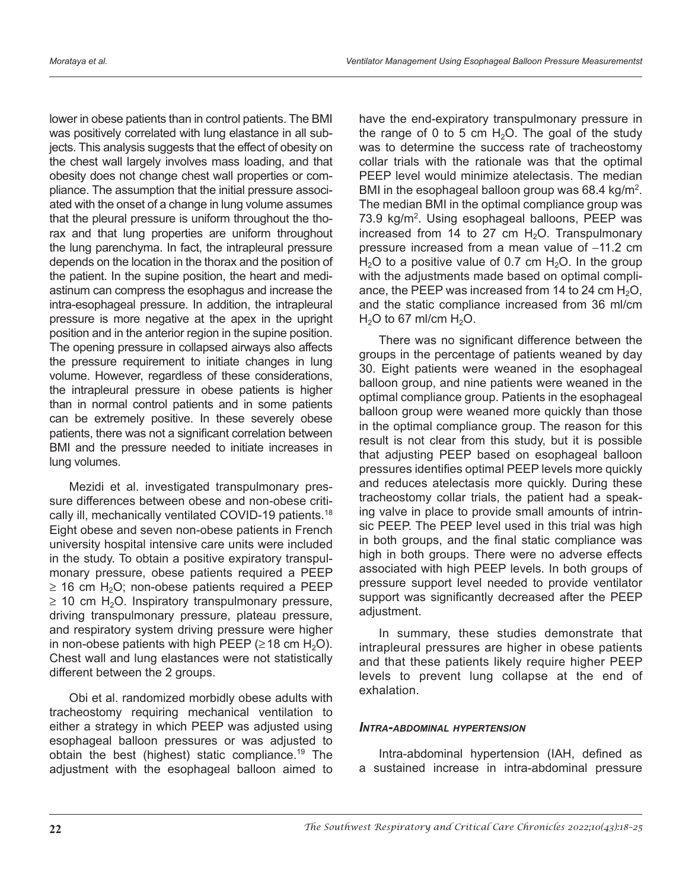lower in obese patients than in control patients. The BMI was positively correlated with lung elastance in all subjects. This analysis suggests that the effect of obesity on the chest wall largely involves mass loading, and that obesity does not change chest wall properties or compliance. The assumption that the initial pressure associated with the onset of a change in lung volume assumes that the pleural pressure is uniform throughout the thorax and that lung properties are uniform throughout the lung parenchyma. In fact, the intrapleural pressure depends on the location in the thorax and the position of the patient. In the supine position, the heart and mediastinum can compress the esophagus and increase the intra-esophageal pressure. In addition, the intrapleural pressure is more negative at the apex in the upright position and in the anterior region in the supine position. The opening pressure in collapsed airways also affects the pressure requirement to initiate changes in lung volume. However, regardless of these considerations, the intrapleural pressure in obese patients is higher than in normal control patients and in some patients can be extremely positive. In these severely obese patients, there was not a significant correlation between BMI and the pressure needed to initiate increases in lung volumes.

Mezidi et al. investigated transpulmonary pressure differences between obese and non-obese critically ill, mechanically ventilated COVID-19 patients.<sup>18</sup> Eight obese and seven non-obese patients in French university hospital intensive care units were included in the study. To obtain a positive expiratory transpulmonary pressure, obese patients required a PEEP  $\geq$  16 cm H<sub>2</sub>O; non-obese patients required a PEEP  $\geq$  10 cm H<sub>2</sub>O. Inspiratory transpulmonary pressure, driving transpulmonary pressure, plateau pressure, and respiratory system driving pressure were higher in non-obese patients with high PEEP ( $\geq$  18 cm H<sub>2</sub>O). Chest wall and lung elastances were not statistically different between the 2 groups.

Obi et al. randomized morbidly obese adults with tracheostomy requiring mechanical ventilation to either a strategy in which PEEP was adjusted using esophageal balloon pressures or was adjusted to obtain the best (highest) static compliance.<sup>19</sup> The adjustment with the esophageal balloon aimed to

have the end-expiratory transpulmonary pressure in the range of 0 to 5 cm  $H<sub>2</sub>O$ . The goal of the study was to determine the success rate of tracheostomy collar trials with the rationale was that the optimal PEEP level would minimize atelectasis. The median BMI in the esophageal balloon group was 68.4 kg/m<sup>2</sup>. The median BMI in the optimal compliance group was 73.9 kg/m<sup>2</sup>. Using esophageal balloons, PEEP was increased from 14 to 27 cm  $H_2O$ . Transpulmonary pressure increased from a mean value of  $-11.2$  cm  $H<sub>2</sub>O$  to a positive value of 0.7 cm  $H<sub>2</sub>O$ . In the group with the adjustments made based on optimal compliance, the PEEP was increased from 14 to 24 cm  $H_2O$ , and the static compliance increased from 36 ml/cm  $H<sub>2</sub>O$  to 67 ml/cm  $H<sub>2</sub>O$ .

There was no significant difference between the groups in the percentage of patients weaned by day 30. Eight patients were weaned in the esophageal balloon group, and nine patients were weaned in the optimal compliance group. Patients in the esophageal balloon group were weaned more quickly than those in the optimal compliance group. The reason for this result is not clear from this study, but it is possible that adjusting PEEP based on esophageal balloon pressures identifies optimal PEEP levels more quickly and reduces atelectasis more quickly. During these tracheostomy collar trials, the patient had a speaking valve in place to provide small amounts of intrinsic PEEP. The PEEP level used in this trial was high in both groups, and the final static compliance was high in both groups. There were no adverse effects associated with high PEEP levels. In both groups of pressure support level needed to provide ventilator support was significantly decreased after the PEEP adjustment.

In summary, these studies demonstrate that intrapleural pressures are higher in obese patients and that these patients likely require higher PEEP levels to prevent lung collapse at the end of exhalation.

### *Intra-abdominal hypertension*

Intra-abdominal hypertension (IAH, defined as a sustained increase in intra-abdominal pressure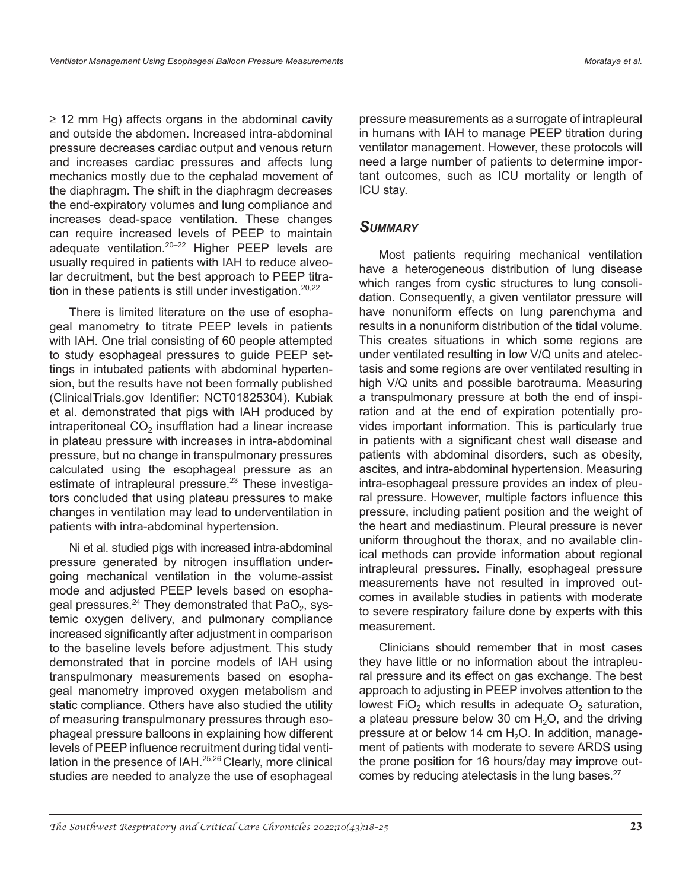$\geq$  12 mm Hg) affects organs in the abdominal cavity and outside the abdomen. Increased intra-abdominal pressure decreases cardiac output and venous return and increases cardiac pressures and affects lung mechanics mostly due to the cephalad movement of the diaphragm. The shift in the diaphragm decreases the end-expiratory volumes and lung compliance and increases dead-space ventilation. These changes can require increased levels of PEEP to maintain adequate ventilation.20–22 Higher PEEP levels are usually required in patients with IAH to reduce alveolar decruitment, but the best approach to PEEP titration in these patients is still under investigation. $20,22$ 

There is limited literature on the use of esophageal manometry to titrate PEEP levels in patients with IAH. One trial consisting of 60 people attempted to study esophageal pressures to guide PEEP settings in intubated patients with abdominal hypertension, but the results have not been formally published (ClinicalTrials.gov Identifier: NCT01825304). Kubiak et al. demonstrated that pigs with IAH produced by intraperitoneal  $CO<sub>2</sub>$  insufflation had a linear increase in plateau pressure with increases in intra-abdominal pressure, but no change in transpulmonary pressures calculated using the esophageal pressure as an estimate of intrapleural pressure.<sup>23</sup> These investigators concluded that using plateau pressures to make changes in ventilation may lead to underventilation in patients with intra-abdominal hypertension.

Ni et al. studied pigs with increased intra-abdominal pressure generated by nitrogen insufflation undergoing mechanical ventilation in the volume-assist mode and adjusted PEEP levels based on esophageal pressures.<sup>24</sup> They demonstrated that  $PaO<sub>2</sub>$ , systemic oxygen delivery, and pulmonary compliance increased significantly after adjustment in comparison to the baseline levels before adjustment. This study demonstrated that in porcine models of IAH using transpulmonary measurements based on esophageal manometry improved oxygen metabolism and static compliance. Others have also studied the utility of measuring transpulmonary pressures through esophageal pressure balloons in explaining how different levels of PEEP influence recruitment during tidal ventilation in the presence of IAH.25,26 Clearly, more clinical studies are needed to analyze the use of esophageal

pressure measurements as a surrogate of intrapleural in humans with IAH to manage PEEP titration during ventilator management. However, these protocols will need a large number of patients to determine important outcomes, such as ICU mortality or length of ICU stay.

# *Summary*

Most patients requiring mechanical ventilation have a heterogeneous distribution of lung disease which ranges from cystic structures to lung consolidation. Consequently, a given ventilator pressure will have nonuniform effects on lung parenchyma and results in a nonuniform distribution of the tidal volume. This creates situations in which some regions are under ventilated resulting in low V/Q units and atelectasis and some regions are over ventilated resulting in high V/Q units and possible barotrauma. Measuring a transpulmonary pressure at both the end of inspiration and at the end of expiration potentially provides important information. This is particularly true in patients with a significant chest wall disease and patients with abdominal disorders, such as obesity, ascites, and intra-abdominal hypertension. Measuring intra-esophageal pressure provides an index of pleural pressure. However, multiple factors influence this pressure, including patient position and the weight of the heart and mediastinum. Pleural pressure is never uniform throughout the thorax, and no available clinical methods can provide information about regional intrapleural pressures. Finally, esophageal pressure measurements have not resulted in improved outcomes in available studies in patients with moderate to severe respiratory failure done by experts with this measurement.

Clinicians should remember that in most cases they have little or no information about the intrapleural pressure and its effect on gas exchange. The best approach to adjusting in PEEP involves attention to the lowest FiO<sub>2</sub> which results in adequate  $O<sub>2</sub>$  saturation, a plateau pressure below 30 cm  $H<sub>2</sub>O$ , and the driving pressure at or below 14 cm  $H_2O$ . In addition, management of patients with moderate to severe ARDS using the prone position for 16 hours/day may improve outcomes by reducing atelectasis in the lung bases.<sup>27</sup>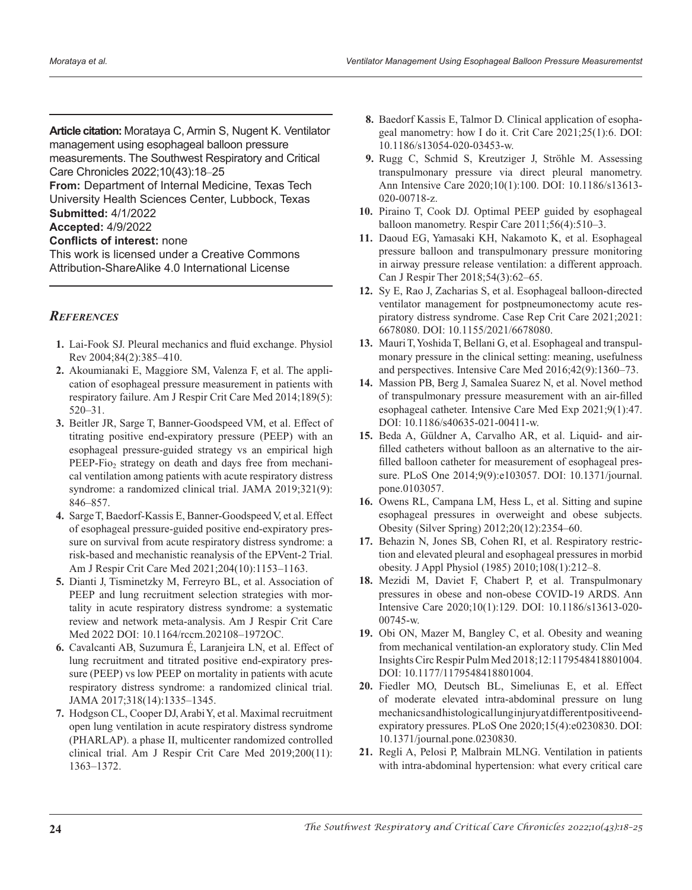**Article citation:** Morataya C, Armin S, Nugent K. Ventilator management using esophageal balloon pressure measurements. The Southwest Respiratory and Critical Care Chronicles 2022;10(43):18–25

**From:** Department of Internal Medicine, Texas Tech University Health Sciences Center, Lubbock, Texas **Submitted:** 4/1/2022

#### **Accepted:** 4/9/2022

```
Conflicts of interest: none
```
This work is licensed under a Creative Commons Attribution-ShareAlike 4.0 International License

### *References*

- **1.** Lai-Fook SJ. Pleural mechanics and fluid exchange. Physiol Rev 2004;84(2):385–410.
- **2.** Akoumianaki E, Maggiore SM, Valenza F, et al. The application of esophageal pressure measurement in patients with respiratory failure. Am J Respir Crit Care Med 2014;189(5): 520–31.
- **3.** Beitler JR, Sarge T, Banner-Goodspeed VM, et al. Effect of titrating positive end-expiratory pressure (PEEP) with an esophageal pressure-guided strategy vs an empirical high  $PEEP-Fio<sub>2</sub> strategy on death and days free from mechanism$ cal ventilation among patients with acute respiratory distress syndrome: a randomized clinical trial. JAMA 2019;321(9): 846–857.
- **4.** Sarge T, Baedorf-Kassis E, Banner-Goodspeed V, et al. Effect of esophageal pressure-guided positive end-expiratory pressure on survival from acute respiratory distress syndrome: a risk-based and mechanistic reanalysis of the EPVent-2 Trial. Am J Respir Crit Care Med 2021;204(10):1153–1163.
- **5.** Dianti J, Tisminetzky M, Ferreyro BL, et al. Association of PEEP and lung recruitment selection strategies with mortality in acute respiratory distress syndrome: a systematic review and network meta-analysis. Am J Respir Crit Care Med 2022 DOI: 10.1164/rccm.202108–1972OC.
- **6.** Cavalcanti AB, Suzumura É, Laranjeira LN, et al. Effect of lung recruitment and titrated positive end-expiratory pressure (PEEP) vs low PEEP on mortality in patients with acute respiratory distress syndrome: a randomized clinical trial. JAMA 2017;318(14):1335–1345.
- **7.** Hodgson CL, Cooper DJ, Arabi Y, et al. Maximal recruitment open lung ventilation in acute respiratory distress syndrome (PHARLAP). a phase II, multicenter randomized controlled clinical trial. Am J Respir Crit Care Med 2019;200(11): 1363–1372.
- **8.** Baedorf Kassis E, Talmor D. Clinical application of esophageal manometry: how I do it. Crit Care 2021;25(1):6. DOI: 10.1186/s13054-020-03453-w.
- **9.** Rugg C, Schmid S, Kreutziger J, Ströhle M. Assessing transpulmonary pressure via direct pleural manometry. Ann Intensive Care 2020;10(1):100. DOI: 10.1186/s13613- 020-00718-z.
- **10.** Piraino T, Cook DJ. Optimal PEEP guided by esophageal balloon manometry. Respir Care 2011;56(4):510–3.
- **11.** Daoud EG, Yamasaki KH, Nakamoto K, et al. Esophageal pressure balloon and transpulmonary pressure monitoring in airway pressure release ventilation: a different approach. Can J Respir Ther 2018;54(3):62–65.
- **12.** Sy E, Rao J, Zacharias S, et al. Esophageal balloon-directed ventilator management for postpneumonectomy acute respiratory distress syndrome. Case Rep Crit Care 2021;2021: 6678080. DOI: 10.1155/2021/6678080.
- **13.** Mauri T, Yoshida T, Bellani G, et al. Esophageal and transpulmonary pressure in the clinical setting: meaning, usefulness and perspectives. Intensive Care Med 2016;42(9):1360–73.
- **14.** Massion PB, Berg J, Samalea Suarez N, et al. Novel method of transpulmonary pressure measurement with an air-filled esophageal catheter. Intensive Care Med Exp 2021;9(1):47. DOI: 10.1186/s40635-021-00411-w.
- **15.** Beda A, Güldner A, Carvalho AR, et al. Liquid- and airfilled catheters without balloon as an alternative to the airfilled balloon catheter for measurement of esophageal pressure. PLoS One 2014;9(9):e103057. DOI: 10.1371/journal. pone.0103057.
- **16.** Owens RL, Campana LM, Hess L, et al. Sitting and supine esophageal pressures in overweight and obese subjects. Obesity (Silver Spring) 2012;20(12):2354–60.
- **17.** Behazin N, Jones SB, Cohen RI, et al. Respiratory restriction and elevated pleural and esophageal pressures in morbid obesity. J Appl Physiol (1985) 2010;108(1):212–8.
- **18.** Mezidi M, Daviet F, Chabert P, et al. Transpulmonary pressures in obese and non-obese COVID-19 ARDS. Ann Intensive Care 2020;10(1):129. DOI: 10.1186/s13613-020- 00745-w.
- **19.** Obi ON, Mazer M, Bangley C, et al. Obesity and weaning from mechanical ventilation-an exploratory study. Clin Med Insights Circ Respir Pulm Med 2018;12:1179548418801004. DOI: 10.1177/1179548418801004.
- **20.** Fiedler MO, Deutsch BL, Simeliunas E, et al. Effect of moderate elevated intra-abdominal pressure on lung mechanics and histological lung injury at different positive endexpiratory pressures. PLoS One 2020;15(4):e0230830. DOI: 10.1371/journal.pone.0230830.
- **21.** Regli A, Pelosi P, Malbrain MLNG. Ventilation in patients with intra-abdominal hypertension: what every critical care